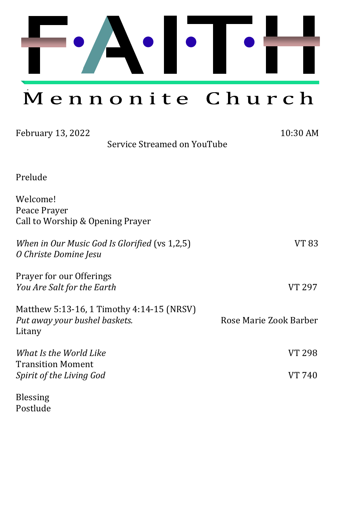

Mennonite Church

| February 13, 2022                                            | Service Streamed on YouTube                   | 10:30 AM               |
|--------------------------------------------------------------|-----------------------------------------------|------------------------|
|                                                              |                                               |                        |
| Prelude                                                      |                                               |                        |
| Welcome!<br>Peace Prayer<br>Call to Worship & Opening Prayer |                                               |                        |
| O Christe Domine Jesu                                        | When in Our Music God Is Glorified (vs 1,2,5) | VT 83                  |
| Prayer for our Offerings<br>You Are Salt for the Earth       |                                               | VT 297                 |
| Put away your bushel baskets.<br>Litany                      | Matthew 5:13-16, 1 Timothy 4:14-15 (NRSV)     | Rose Marie Zook Barber |
| What Is the World Like                                       |                                               | VT 298                 |
| <b>Transition Moment</b><br>Spirit of the Living God         |                                               | VT 740                 |
| <b>Blessing</b>                                              |                                               |                        |

Postlude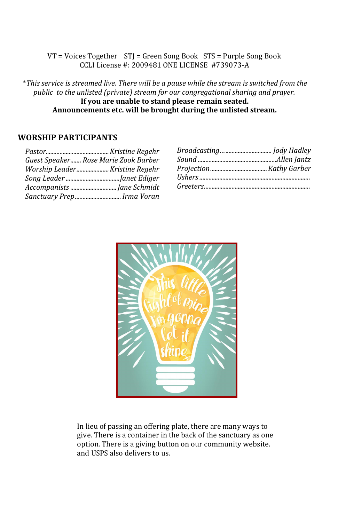VT = Voices Together STJ = Green Song Book STS = Purple Song Book CCLI License #: 2009481 ONE LICENSE #739073-A

\**This service is streamed live. There will be a pause while the stream is switched from the public to the unlisted (private) stream for our congregational sharing and prayer.*  **If you are unable to stand please remain seated. Announcements etc. will be brought during the unlisted stream.**

#### **WORSHIP PARTICIPANTS**

| Guest Speaker Rose Marie Zook Barber |
|--------------------------------------|
|                                      |
|                                      |
|                                      |
| Sanctuary Prep Irma Voran            |

| Broadcasting Jody Hadley |  |
|--------------------------|--|
|                          |  |
|                          |  |
|                          |  |
|                          |  |
|                          |  |



In lieu of passing an offering plate, there are many ways to give. There is a container in the back of the sanctuary as one option. There is a giving button on our community website. and USPS also delivers to us.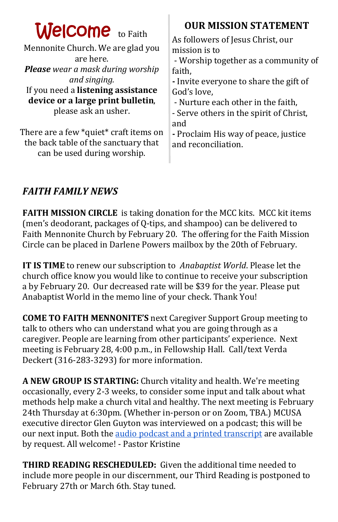| <b>Welcome</b> to Faith<br>Mennonite Church. We are glad you<br>are here.<br><b>Please</b> wear a mask during worship<br>and singing.<br>If you need a listening assistance<br>device or a large print bulletin,<br>please ask an usher.<br>There are a few *quiet* craft items on | <b>OUR MISSION STATEMENT</b><br>As followers of Jesus Christ, our<br>mission is to<br>- Worship together as a community of<br>faith,<br>- Invite everyone to share the gift of<br>God's love,<br>- Nurture each other in the faith,<br>- Serve others in the spirit of Christ,<br>and<br>- Proclaim His way of peace, justice |
|------------------------------------------------------------------------------------------------------------------------------------------------------------------------------------------------------------------------------------------------------------------------------------|-------------------------------------------------------------------------------------------------------------------------------------------------------------------------------------------------------------------------------------------------------------------------------------------------------------------------------|
| the back table of the sanctuary that<br>can be used during worship.                                                                                                                                                                                                                | and reconciliation.                                                                                                                                                                                                                                                                                                           |
|                                                                                                                                                                                                                                                                                    |                                                                                                                                                                                                                                                                                                                               |

## *FAITH FAMILY NEWS*

**FAITH MISSION CIRCLE** is taking donation for the MCC kits. MCC kit items (men's deodorant, packages of Q-tips, and shampoo) can be delivered to Faith Mennonite Church by February 20. The offering for the Faith Mission Circle can be placed in Darlene Powers mailbox by the 20th of February.

**IT IS TIME** to renew our subscription to *Anabaptist World*. Please let the church office know you would like to continue to receive your subscription a by February 20. Our decreased rate will be \$39 for the year. Please put Anabaptist World in the memo line of your check. Thank You!

**COME TO FAITH MENNONITE'S** next Caregiver Support Group meeting to talk to others who can understand what you are going through as a caregiver. People are learning from other participants' experience. Next meeting is February 28, 4:00 p.m., in Fellowship Hall. Call/text Verda Deckert (316-283-3293) for more information.

**A NEW GROUP IS STARTING:** Church vitality and health. We're meeting occasionally, every 2-3 weeks, to consider some input and talk about what methods help make a church vital and healthy. The next meeting is February 24th Thursday at 6:30pm. (Whether in-person or on Zoom, TBA.) MCUSA executive director Glen Guyton was interviewed on a podcast; this will be our next input. Both the [audio podcast and a printed transcript](https://www.mennomedia.org/blog/2022/02/02/transforming-with-glen-guyton/) are available by request. All welcome! - Pastor Kristine

**THIRD READING RESCHEDULED:** Given the additional time needed to include more people in our discernment, our Third Reading is postponed to February 27th or March 6th. Stay tuned.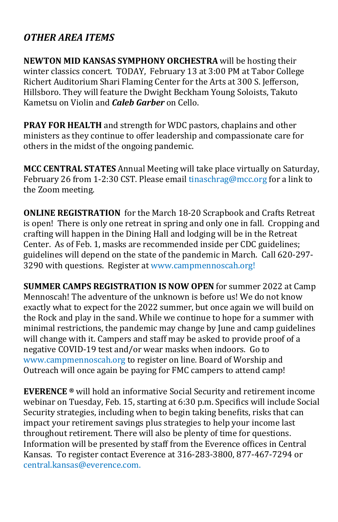### *OTHER AREA ITEMS*

**NEWTON MID KANSAS SYMPHONY ORCHESTRA** will be hosting their winter classics concert. TODAY, February 13 at 3:00 PM at Tabor College Richert Auditorium Shari Flaming Center for the Arts at 300 S. Jefferson, Hillsboro. They will feature the Dwight Beckham Young Soloists, Takuto Kametsu on Violin and *Caleb Garber* on Cello.

**PRAY FOR HEALTH** and strength for WDC pastors, chaplains and other ministers as they continue to offer leadership and compassionate care for others in the midst of the ongoing pandemic.

**MCC CENTRAL STATES** Annual Meeting will take place virtually on Saturday, February 26 from 1-2:30 CST. Please email [tinaschrag@mcc.org](mailto:tinaschrag@mcc.org) for a link to the Zoom meeting.

**ONLINE REGISTRATION** for the March 18-20 Scrapbook and Crafts Retreat is open! There is only one retreat in spring and only one in fall. Cropping and crafting will happen in the Dining Hall and lodging will be in the Retreat Center. As of Feb. 1, masks are recommended inside per CDC guidelines; guidelines will depend on the state of the pandemic in March. Call 620-297- 3290 with questions. [Register at www.campmennoscah.org!](https://campmennoscah.campbrainregistration.com/)

**SUMMER CAMPS REGISTRATION IS NOW OPEN** for summer 2022 at Camp Mennoscah! The adventure of the unknown is before us! We do not know exactly what to expect for the 2022 summer, but once again we will build on the Rock and play in the sand. While we continue to hope for a summer with minimal restrictions, the pandemic may change by June and camp guidelines will change with it. Campers and staff may be asked to provide proof of a negative COVID-19 test and/or wear masks when indoors. Go to www.campmennoscah.org to register on line. Board of Worship and Outreach will once again be paying for FMC campers to attend camp!

**EVERENCE ®** will hold an informative Social Security and retirement income webinar on Tuesday, Feb. 15, starting at 6:30 p.m. Specifics will include Social Security strategies, including when to begin taking benefits, risks that can impact your retirement savings plus strategies to help your income last throughout retirement. There will also be plenty of time for questions. Information will be presented by staff from the Everence offices in Central Kansas. To register contact Everence at 316-283-3800, 877-467-7294 or [central.kansas@everence.com.](mailto:central.kansas@everence.com)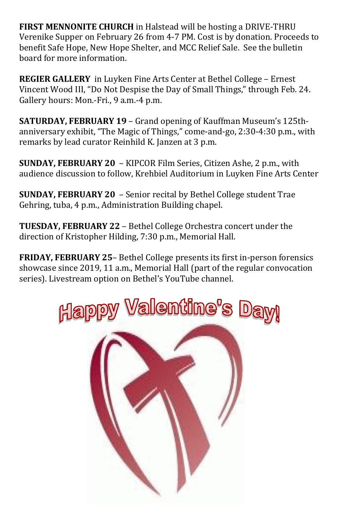**FIRST MENNONITE CHURCH** in Halstead will be hosting a DRIVE-THRU Verenike Supper on February 26 from 4-7 PM. Cost is by donation. Proceeds to benefit Safe Hope, New Hope Shelter, and MCC Relief Sale. See the bulletin board for more information.

**REGIER GALLERY** in Luyken Fine Arts Center at Bethel College – Ernest Vincent Wood III, "Do Not Despise the Day of Small Things," through Feb. 24. Gallery hours: Mon.-Fri., 9 a.m.-4 p.m.

**SATURDAY, FEBRUARY 19** – Grand opening of Kauffman Museum's 125thanniversary exhibit, "The Magic of Things," come-and-go, 2:30-4:30 p.m., with remarks by lead curator Reinhild K. Janzen at 3 p.m.

**SUNDAY, FEBRUARY 20** – KIPCOR Film Series, Citizen Ashe, 2 p.m., with audience discussion to follow, Krehbiel Auditorium in Luyken Fine Arts Center

**SUNDAY, FEBRUARY 20** – Senior recital by Bethel College student Trae Gehring, tuba, 4 p.m., Administration Building chapel.

**TUESDAY, FEBRUARY 22** – Bethel College Orchestra concert under the direction of Kristopher Hilding, 7:30 p.m., Memorial Hall.

**FRIDAY, FEBRUARY 25**– Bethel College presents its first in-person forensics showcase since 2019, 11 a.m., Memorial Hall (part of the regular convocation series). Livestream option on Bethel's YouTube channel.